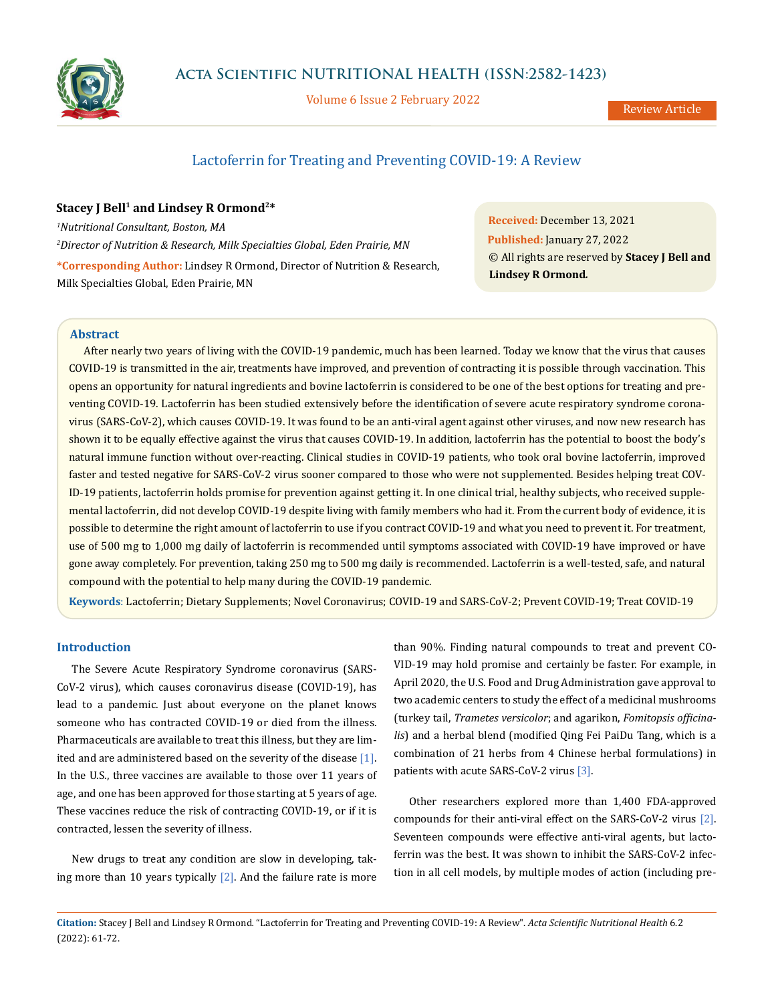

Volume 6 Issue 2 February 2022

Review Article

# Lactoferrin for Treating and Preventing COVID-19: A Review

# **Stacey J Bell<sup>1</sup> and Lindsey R Ormond<sup>2\*</sup>**

*1 Nutritional Consultant, Boston, MA 2 Director of Nutrition & Research, Milk Specialties Global, Eden Prairie, MN* **\*Corresponding Author:** Lindsey R Ormond, Director of Nutrition & Research, Milk Specialties Global, Eden Prairie, MN

**Received:** December 13, 2021 **Published:** January 27, 2022 © All rights are reserved by **Stacey J Bell and Lindsey R Ormond***.*

# **Abstract**

After nearly two years of living with the COVID-19 pandemic, much has been learned. Today we know that the virus that causes COVID-19 is transmitted in the air, treatments have improved, and prevention of contracting it is possible through vaccination. This opens an opportunity for natural ingredients and bovine lactoferrin is considered to be one of the best options for treating and preventing COVID-19. Lactoferrin has been studied extensively before the identification of severe acute respiratory syndrome coronavirus (SARS-CoV-2), which causes COVID-19. It was found to be an anti-viral agent against other viruses, and now new research has shown it to be equally effective against the virus that causes COVID-19. In addition, lactoferrin has the potential to boost the body's natural immune function without over-reacting. Clinical studies in COVID-19 patients, who took oral bovine lactoferrin, improved faster and tested negative for SARS-CoV-2 virus sooner compared to those who were not supplemented. Besides helping treat COV-ID-19 patients, lactoferrin holds promise for prevention against getting it. In one clinical trial, healthy subjects, who received supplemental lactoferrin, did not develop COVID-19 despite living with family members who had it. From the current body of evidence, it is possible to determine the right amount of lactoferrin to use if you contract COVID-19 and what you need to prevent it. For treatment, use of 500 mg to 1,000 mg daily of lactoferrin is recommended until symptoms associated with COVID-19 have improved or have gone away completely. For prevention, taking 250 mg to 500 mg daily is recommended. Lactoferrin is a well-tested, safe, and natural compound with the potential to help many during the COVID-19 pandemic.

**Keywords**: Lactoferrin; Dietary Supplements; Novel Coronavirus; COVID-19 and SARS-CoV-2; Prevent COVID-19; Treat COVID-19

# **Introduction**

The Severe Acute Respiratory Syndrome coronavirus (SARS-CoV-2 virus), which causes coronavirus disease (COVID-19), has lead to a pandemic. Just about everyone on the planet knows someone who has contracted COVID-19 or died from the illness. Pharmaceuticals are available to treat this illness, but they are limited and are administered based on the severity of the disease [1]. In the U.S., three vaccines are available to those over 11 years of age, and one has been approved for those starting at 5 years of age. These vaccines reduce the risk of contracting COVID-19, or if it is contracted, lessen the severity of illness.

New drugs to treat any condition are slow in developing, taking more than 10 years typically  $[2]$ . And the failure rate is more

than 90%. Finding natural compounds to treat and prevent CO-VID-19 may hold promise and certainly be faster. For example, in April 2020, the U.S. Food and Drug Administration gave approval to two academic centers to study the effect of a medicinal mushrooms (turkey tail, *Trametes versicolor*; and agarikon, *Fomitopsis officinalis*) and a herbal blend (modified Qing Fei PaiDu Tang, which is a combination of 21 herbs from 4 Chinese herbal formulations) in patients with acute SARS-CoV-2 virus [3].

Other researchers explored more than 1,400 FDA-approved compounds for their anti-viral effect on the SARS-CoV-2 virus [2]. Seventeen compounds were effective anti-viral agents, but lactoferrin was the best. It was shown to inhibit the SARS-CoV-2 infection in all cell models, by multiple modes of action (including pre-

**Citation:** Stacey J Bell and Lindsey R Ormond*.* "Lactoferrin for Treating and Preventing COVID-19: A Review". *Acta Scientific Nutritional Health* 6.2 (2022): 61-72.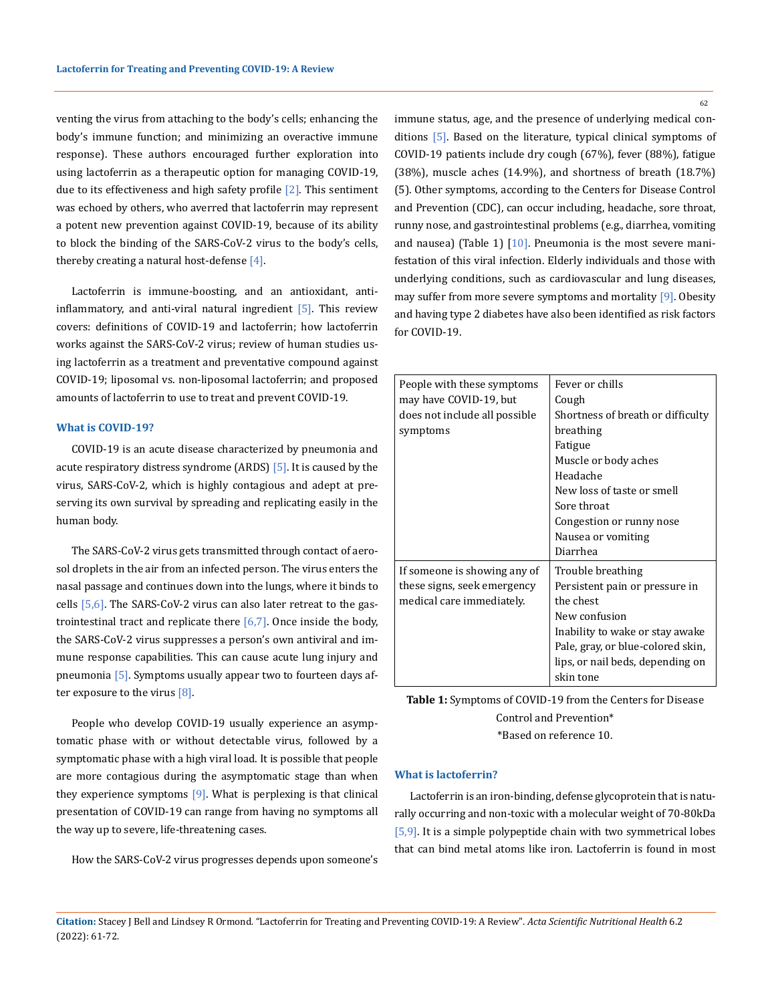venting the virus from attaching to the body's cells; enhancing the body's immune function; and minimizing an overactive immune response). These authors encouraged further exploration into using lactoferrin as a therapeutic option for managing COVID-19, due to its effectiveness and high safety profile  $[2]$ . This sentiment was echoed by others, who averred that lactoferrin may represent a potent new prevention against COVID-19, because of its ability to block the binding of the SARS-CoV-2 virus to the body's cells, thereby creating a natural host-defense [4].

Lactoferrin is immune-boosting, and an antioxidant, antiinflammatory, and anti-viral natural ingredient  $[5]$ . This review covers: definitions of COVID-19 and lactoferrin; how lactoferrin works against the SARS-CoV-2 virus; review of human studies using lactoferrin as a treatment and preventative compound against COVID-19; liposomal vs. non-liposomal lactoferrin; and proposed amounts of lactoferrin to use to treat and prevent COVID-19.

#### **What is COVID-19?**

COVID-19 is an acute disease characterized by pneumonia and acute respiratory distress syndrome (ARDS) [5]. It is caused by the virus, SARS-CoV-2, which is highly contagious and adept at preserving its own survival by spreading and replicating easily in the human body.

The SARS-CoV-2 virus gets transmitted through contact of aerosol droplets in the air from an infected person. The virus enters the nasal passage and continues down into the lungs, where it binds to cells  $[5,6]$ . The SARS-CoV-2 virus can also later retreat to the gastrointestinal tract and replicate there  $[6,7]$ . Once inside the body, the SARS-CoV-2 virus suppresses a person's own antiviral and immune response capabilities. This can cause acute lung injury and pneumonia [5]. Symptoms usually appear two to fourteen days after exposure to the virus  $[8]$ .

People who develop COVID-19 usually experience an asymptomatic phase with or without detectable virus, followed by a symptomatic phase with a high viral load. It is possible that people are more contagious during the asymptomatic stage than when they experience symptoms [9]. What is perplexing is that clinical presentation of COVID-19 can range from having no symptoms all the way up to severe, life-threatening cases.

How the SARS-CoV-2 virus progresses depends upon someone's

62

immune status, age, and the presence of underlying medical conditions [5]. Based on the literature, typical clinical symptoms of COVID-19 patients include dry cough (67%), fever (88%), fatigue (38%), muscle aches (14.9%), and shortness of breath (18.7%) (5). Other symptoms, according to the Centers for Disease Control and Prevention (CDC), can occur including, headache, sore throat, runny nose, and gastrointestinal problems (e.g., diarrhea, vomiting and nausea) (Table 1)  $[10]$ . Pneumonia is the most severe manifestation of this viral infection. Elderly individuals and those with underlying conditions, such as cardiovascular and lung diseases, may suffer from more severe symptoms and mortality [9]. Obesity and having type 2 diabetes have also been identified as risk factors for COVID-19.

| People with these symptoms<br>may have COVID-19, but<br>does not include all possible | Fever or chills<br>Cough<br>Shortness of breath or difficulty |
|---------------------------------------------------------------------------------------|---------------------------------------------------------------|
| symptoms                                                                              | breathing                                                     |
|                                                                                       | Fatigue                                                       |
|                                                                                       | Muscle or body aches                                          |
|                                                                                       | Headache                                                      |
|                                                                                       | New loss of taste or smell                                    |
|                                                                                       | Sore throat                                                   |
|                                                                                       | Congestion or runny nose                                      |
|                                                                                       | Nausea or vomiting                                            |
|                                                                                       | Diarrhea                                                      |
| If someone is showing any of                                                          | Trouble breathing                                             |
| these signs, seek emergency                                                           | Persistent pain or pressure in                                |
| medical care immediately.                                                             | the chest                                                     |
|                                                                                       | New confusion                                                 |
|                                                                                       | Inability to wake or stay awake                               |
|                                                                                       | Pale, gray, or blue-colored skin,                             |
|                                                                                       | lips, or nail beds, depending on                              |
|                                                                                       | skin tone                                                     |

**Table 1:** Symptoms of COVID-19 from the Centers for Disease Control and Prevention\* \*Based on reference 10.

## **What is lactoferrin?**

Lactoferrin is an iron-binding, defense glycoprotein that is naturally occurring and non-toxic with a molecular weight of 70-80kDa [5,9]. It is a simple polypeptide chain with two symmetrical lobes that can bind metal atoms like iron. Lactoferrin is found in most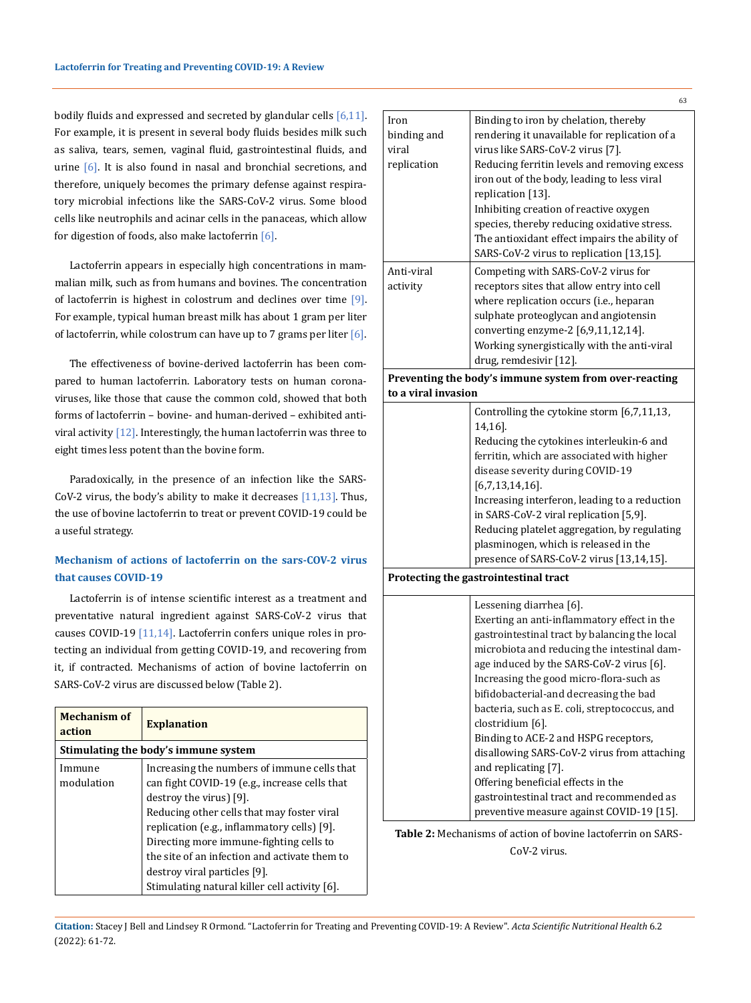bodily fluids and expressed and secreted by glandular cells [6,11]. For example, it is present in several body fluids besides milk such as saliva, tears, semen, vaginal fluid, gastrointestinal fluids, and urine  $[6]$ . It is also found in nasal and bronchial secretions, and therefore, uniquely becomes the primary defense against respiratory microbial infections like the SARS-CoV-2 virus. Some blood cells like neutrophils and acinar cells in the panaceas, which allow for digestion of foods, also make lactoferrin [6].

Lactoferrin appears in especially high concentrations in mammalian milk, such as from humans and bovines. The concentration of lactoferrin is highest in colostrum and declines over time [9]. For example, typical human breast milk has about 1 gram per liter of lactoferrin, while colostrum can have up to 7 grams per liter  $[6]$ .

The effectiveness of bovine-derived lactoferrin has been compared to human lactoferrin. Laboratory tests on human coronaviruses, like those that cause the common cold, showed that both forms of lactoferrin – bovine- and human-derived – exhibited antiviral activity  $[12]$ . Interestingly, the human lactoferrin was three to eight times less potent than the bovine form.

Paradoxically, in the presence of an infection like the SARS-CoV-2 virus, the body's ability to make it decreases  $[11,13]$ . Thus, the use of bovine lactoferrin to treat or prevent COVID-19 could be a useful strategy.

# **Mechanism of actions of lactoferrin on the sars-COV-2 virus that causes COVID-19**

Lactoferrin is of intense scientific interest as a treatment and preventative natural ingredient against SARS-CoV-2 virus that causes COVID-19 [11,14]. Lactoferrin confers unique roles in protecting an individual from getting COVID-19, and recovering from it, if contracted. Mechanisms of action of bovine lactoferrin on SARS-CoV-2 virus are discussed below (Table 2).

| Mechanism of<br>action               | <b>Explanation</b>                                                                                                                                                                                                                                                                                                                                                                                |  |
|--------------------------------------|---------------------------------------------------------------------------------------------------------------------------------------------------------------------------------------------------------------------------------------------------------------------------------------------------------------------------------------------------------------------------------------------------|--|
| Stimulating the body's immune system |                                                                                                                                                                                                                                                                                                                                                                                                   |  |
| Immune<br>modulation                 | Increasing the numbers of immune cells that<br>can fight COVID-19 (e.g., increase cells that<br>destroy the virus) [9].<br>Reducing other cells that may foster viral<br>replication (e.g., inflammatory cells) [9].<br>Directing more immune-fighting cells to<br>the site of an infection and activate them to<br>destroy viral particles [9].<br>Stimulating natural killer cell activity [6]. |  |

| Iron<br>binding and | Binding to iron by chelation, thereby<br>rendering it unavailable for replication of a  |
|---------------------|-----------------------------------------------------------------------------------------|
| viral               | virus like SARS-CoV-2 virus [7].                                                        |
| replication         | Reducing ferritin levels and removing excess                                            |
|                     | iron out of the body, leading to less viral                                             |
|                     | replication [13].                                                                       |
|                     | Inhibiting creation of reactive oxygen                                                  |
|                     | species, thereby reducing oxidative stress.                                             |
|                     | The antioxidant effect impairs the ability of                                           |
|                     | SARS-CoV-2 virus to replication [13,15].                                                |
| Anti-viral          | Competing with SARS-CoV-2 virus for                                                     |
| activity            | receptors sites that allow entry into cell                                              |
|                     | where replication occurs (i.e., heparan                                                 |
|                     | sulphate proteoglycan and angiotensin                                                   |
|                     | converting enzyme-2 [6,9,11,12,14].                                                     |
|                     | Working synergistically with the anti-viral                                             |
|                     | drug, remdesivir [12].                                                                  |
| to a viral invasion | Preventing the body's immune system from over-reacting                                  |
|                     | Controlling the cytokine storm [6,7,11,13,                                              |
|                     | 14,16].                                                                                 |
|                     | Reducing the cytokines interleukin-6 and                                                |
|                     | ferritin, which are associated with higher                                              |
|                     | disease severity during COVID-19                                                        |
|                     |                                                                                         |
|                     |                                                                                         |
|                     | $[6,7,13,14,16]$ .                                                                      |
|                     | Increasing interferon, leading to a reduction<br>in SARS-CoV-2 viral replication [5,9]. |
|                     | Reducing platelet aggregation, by regulating                                            |
|                     | plasminogen, which is released in the                                                   |
|                     | presence of SARS-CoV-2 virus [13,14,15].                                                |
|                     | Protecting the gastrointestinal tract                                                   |
|                     | Lessening diarrhea [6].                                                                 |
|                     | Exerting an anti-inflammatory effect in the                                             |
|                     | gastrointestinal tract by balancing the local                                           |
|                     | microbiota and reducing the intestinal dam-                                             |
|                     | age induced by the SARS-CoV-2 virus [6].                                                |
|                     | Increasing the good micro-flora-such as                                                 |
|                     | bifidobacterial-and decreasing the bad                                                  |
|                     | bacteria, such as E. coli, streptococcus, and                                           |
|                     | clostridium [6].                                                                        |
|                     | Binding to ACE-2 and HSPG receptors,                                                    |
|                     |                                                                                         |
|                     | and replicating [7].                                                                    |
|                     | disallowing SARS-CoV-2 virus from attaching<br>Offering beneficial effects in the       |
|                     | gastrointestinal tract and recommended as<br>preventive measure against COVID-19 [15].  |

**Table 2:** Mechanisms of action of bovine lactoferrin on SARS-CoV-2 virus.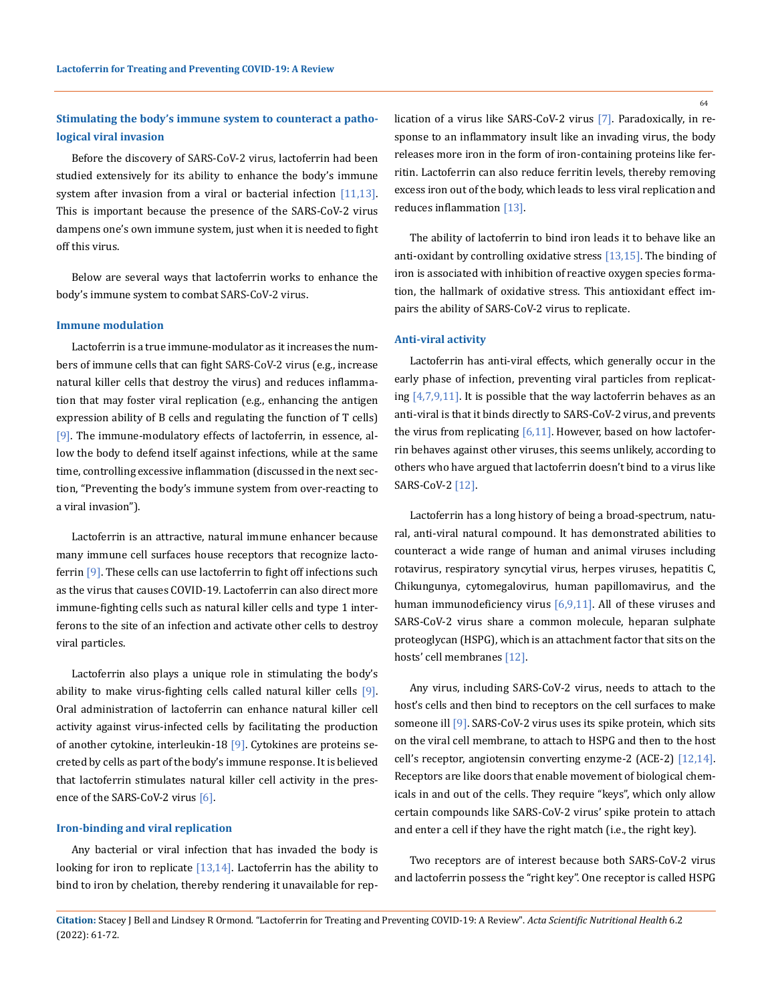# **Stimulating the body's immune system to counteract a pathological viral invasion**

Before the discovery of SARS-CoV-2 virus, lactoferrin had been studied extensively for its ability to enhance the body's immune system after invasion from a viral or bacterial infection [11,13]. This is important because the presence of the SARS-CoV-2 virus dampens one's own immune system, just when it is needed to fight off this virus.

Below are several ways that lactoferrin works to enhance the body's immune system to combat SARS-CoV-2 virus.

### **Immune modulation**

Lactoferrin is a true immune-modulator as it increases the numbers of immune cells that can fight SARS-CoV-2 virus (e.g., increase natural killer cells that destroy the virus) and reduces inflammation that may foster viral replication (e.g., enhancing the antigen expression ability of B cells and regulating the function of T cells) [9]. The immune-modulatory effects of lactoferrin, in essence, allow the body to defend itself against infections, while at the same time, controlling excessive inflammation (discussed in the next section, "Preventing the body's immune system from over-reacting to a viral invasion").

Lactoferrin is an attractive, natural immune enhancer because many immune cell surfaces house receptors that recognize lactoferrin [9]. These cells can use lactoferrin to fight off infections such as the virus that causes COVID-19. Lactoferrin can also direct more immune-fighting cells such as natural killer cells and type 1 interferons to the site of an infection and activate other cells to destroy viral particles.

Lactoferrin also plays a unique role in stimulating the body's ability to make virus-fighting cells called natural killer cells [9]. Oral administration of lactoferrin can enhance natural killer cell activity against virus-infected cells by facilitating the production of another cytokine, interleukin-18 [9]. Cytokines are proteins secreted by cells as part of the body's immune response. It is believed that lactoferrin stimulates natural killer cell activity in the presence of the SARS-CoV-2 virus [6].

#### **Iron-binding and viral replication**

Any bacterial or viral infection that has invaded the body is looking for iron to replicate  $[13,14]$ . Lactoferrin has the ability to bind to iron by chelation, thereby rendering it unavailable for replication of a virus like SARS-CoV-2 virus [7]. Paradoxically, in response to an inflammatory insult like an invading virus, the body releases more iron in the form of iron-containing proteins like ferritin. Lactoferrin can also reduce ferritin levels, thereby removing excess iron out of the body, which leads to less viral replication and reduces inflammation [13].

The ability of lactoferrin to bind iron leads it to behave like an anti-oxidant by controlling oxidative stress [13,15]. The binding of iron is associated with inhibition of reactive oxygen species formation, the hallmark of oxidative stress. This antioxidant effect impairs the ability of SARS-CoV-2 virus to replicate.

### **Anti-viral activity**

Lactoferrin has anti-viral effects, which generally occur in the early phase of infection, preventing viral particles from replicating  $[4,7,9,11]$ . It is possible that the way lactoferrin behaves as an anti-viral is that it binds directly to SARS-CoV-2 virus, and prevents the virus from replicating  $[6,11]$ . However, based on how lactoferrin behaves against other viruses, this seems unlikely, according to others who have argued that lactoferrin doesn't bind to a virus like SARS-CoV-2 [12].

Lactoferrin has a long history of being a broad-spectrum, natural, anti-viral natural compound. It has demonstrated abilities to counteract a wide range of human and animal viruses including rotavirus, respiratory syncytial virus, herpes viruses, hepatitis C, Chikungunya, cytomegalovirus, human papillomavirus, and the human immunodeficiency virus [6,9,11]. All of these viruses and SARS-CoV-2 virus share a common molecule, heparan sulphate proteoglycan (HSPG), which is an attachment factor that sits on the hosts' cell membranes [12].

Any virus, including SARS-CoV-2 virus, needs to attach to the host's cells and then bind to receptors on the cell surfaces to make someone ill [9]. SARS-CoV-2 virus uses its spike protein, which sits on the viral cell membrane, to attach to HSPG and then to the host cell's receptor, angiotensin converting enzyme-2 (ACE-2) [12,14]. Receptors are like doors that enable movement of biological chemicals in and out of the cells. They require "keys", which only allow certain compounds like SARS-CoV-2 virus' spike protein to attach and enter a cell if they have the right match (i.e., the right key).

Two receptors are of interest because both SARS-CoV-2 virus and lactoferrin possess the "right key". One receptor is called HSPG

64

**Citation:** Stacey J Bell and Lindsey R Ormond*.* "Lactoferrin for Treating and Preventing COVID-19: A Review". *Acta Scientific Nutritional Health* 6.2 (2022): 61-72.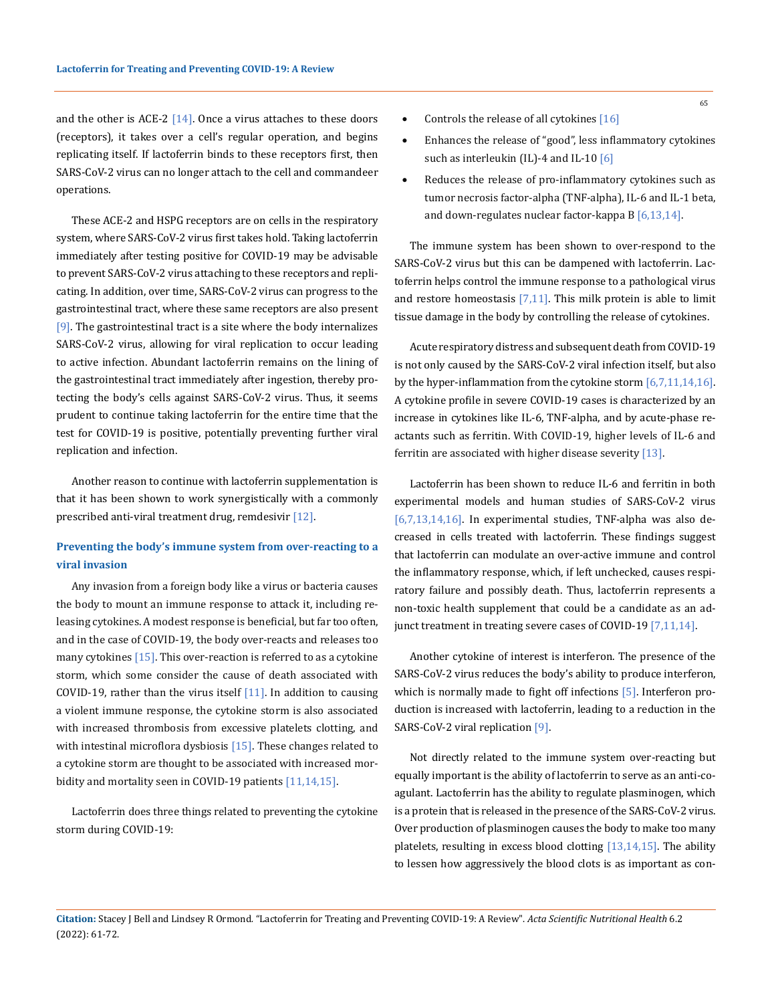and the other is ACE-2  $[14]$ . Once a virus attaches to these doors (receptors), it takes over a cell's regular operation, and begins replicating itself. If lactoferrin binds to these receptors first, then SARS-CoV-2 virus can no longer attach to the cell and commandeer operations.

These ACE-2 and HSPG receptors are on cells in the respiratory system, where SARS-CoV-2 virus first takes hold. Taking lactoferrin immediately after testing positive for COVID-19 may be advisable to prevent SARS-CoV-2 virus attaching to these receptors and replicating. In addition, over time, SARS-CoV-2 virus can progress to the gastrointestinal tract, where these same receptors are also present [9]. The gastrointestinal tract is a site where the body internalizes SARS-CoV-2 virus, allowing for viral replication to occur leading to active infection. Abundant lactoferrin remains on the lining of the gastrointestinal tract immediately after ingestion, thereby protecting the body's cells against SARS-CoV-2 virus. Thus, it seems prudent to continue taking lactoferrin for the entire time that the test for COVID-19 is positive, potentially preventing further viral replication and infection.

Another reason to continue with lactoferrin supplementation is that it has been shown to work synergistically with a commonly prescribed anti-viral treatment drug, remdesivir [12].

# **Preventing the body's immune system from over-reacting to a viral invasion**

Any invasion from a foreign body like a virus or bacteria causes the body to mount an immune response to attack it, including releasing cytokines. A modest response is beneficial, but far too often, and in the case of COVID-19, the body over-reacts and releases too many cytokines  $[15]$ . This over-reaction is referred to as a cytokine storm, which some consider the cause of death associated with COVID-19, rather than the virus itself  $[11]$ . In addition to causing a violent immune response, the cytokine storm is also associated with increased thrombosis from excessive platelets clotting, and with intestinal microflora dysbiosis [15]. These changes related to a cytokine storm are thought to be associated with increased morbidity and mortality seen in COVID-19 patients [11,14,15].

Lactoferrin does three things related to preventing the cytokine storm during COVID-19:

- Enhances the release of "good", less inflammatory cytokines such as interleukin (IL)-4 and IL-10 [6]
- Reduces the release of pro-inflammatory cytokines such as tumor necrosis factor-alpha (TNF-alpha), IL-6 and IL-1 beta, and down-regulates nuclear factor-kappa B [6,13,14].

The immune system has been shown to over-respond to the SARS-CoV-2 virus but this can be dampened with lactoferrin. Lactoferrin helps control the immune response to a pathological virus and restore homeostasis [7,11]. This milk protein is able to limit tissue damage in the body by controlling the release of cytokines.

Acute respiratory distress and subsequent death from COVID-19 is not only caused by the SARS-CoV-2 viral infection itself, but also by the hyper-inflammation from the cytokine storm [6,7,11,14,16]. A cytokine profile in severe COVID-19 cases is characterized by an increase in cytokines like IL-6, TNF-alpha, and by acute-phase reactants such as ferritin. With COVID-19, higher levels of IL-6 and ferritin are associated with higher disease severity [13].

Lactoferrin has been shown to reduce IL-6 and ferritin in both experimental models and human studies of SARS-CoV-2 virus [6,7,13,14,16]. In experimental studies, TNF-alpha was also decreased in cells treated with lactoferrin. These findings suggest that lactoferrin can modulate an over-active immune and control the inflammatory response, which, if left unchecked, causes respiratory failure and possibly death. Thus, lactoferrin represents a non-toxic health supplement that could be a candidate as an adjunct treatment in treating severe cases of COVID-19 [7,11,14].

Another cytokine of interest is interferon. The presence of the SARS-CoV-2 virus reduces the body's ability to produce interferon, which is normally made to fight off infections [5]. Interferon production is increased with lactoferrin, leading to a reduction in the SARS-CoV-2 viral replication [9].

Not directly related to the immune system over-reacting but equally important is the ability of lactoferrin to serve as an anti-coagulant. Lactoferrin has the ability to regulate plasminogen, which is a protein that is released in the presence of the SARS-CoV-2 virus. Over production of plasminogen causes the body to make too many platelets, resulting in excess blood clotting  $[13,14,15]$ . The ability to lessen how aggressively the blood clots is as important as con-

65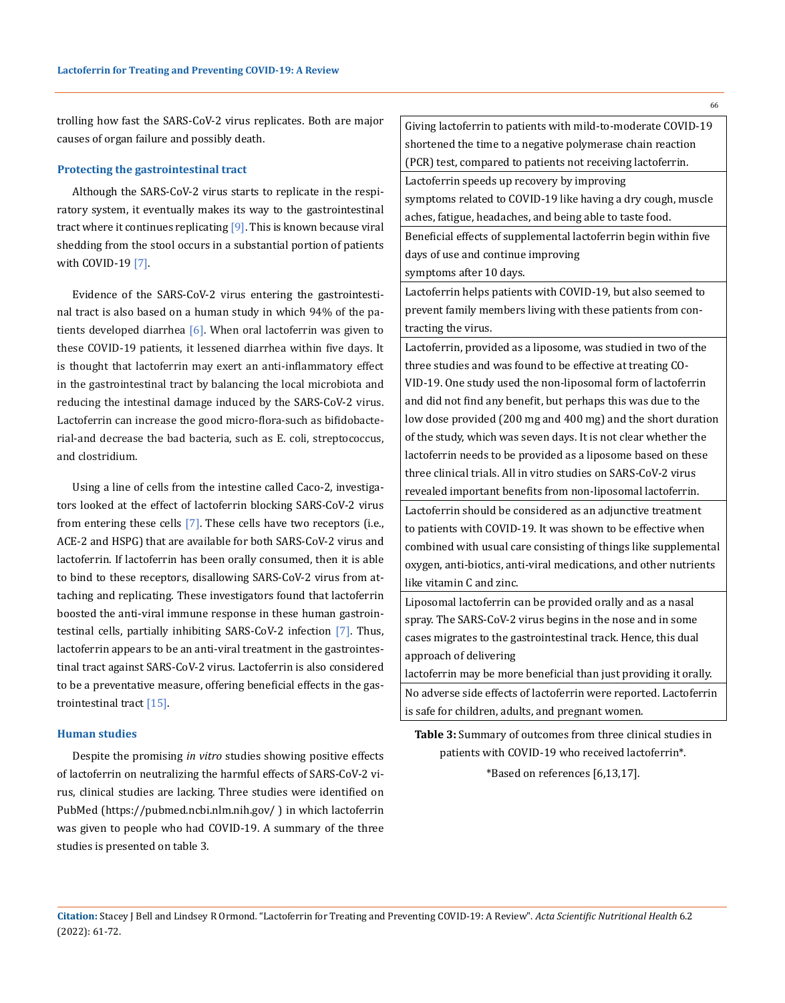trolling how fast the SARS-CoV-2 virus replicates. Both are major causes of organ failure and possibly death.

#### **Protecting the gastrointestinal tract**

Although the SARS-CoV-2 virus starts to replicate in the respiratory system, it eventually makes its way to the gastrointestinal tract where it continues replicating [9]. This is known because viral shedding from the stool occurs in a substantial portion of patients with COVID-19<sup>[7]</sup>.

Evidence of the SARS-CoV-2 virus entering the gastrointestinal tract is also based on a human study in which 94% of the patients developed diarrhea  $[6]$ . When oral lactoferrin was given to these COVID-19 patients, it lessened diarrhea within five days. It is thought that lactoferrin may exert an anti-inflammatory effect in the gastrointestinal tract by balancing the local microbiota and reducing the intestinal damage induced by the SARS-CoV-2 virus. Lactoferrin can increase the good micro-flora-such as bifidobacterial-and decrease the bad bacteria, such as E. coli, streptococcus, and clostridium.

Using a line of cells from the intestine called Caco-2, investigators looked at the effect of lactoferrin blocking SARS-CoV-2 virus from entering these cells  $[7]$ . These cells have two receptors (i.e., ACE-2 and HSPG) that are available for both SARS-CoV-2 virus and lactoferrin. If lactoferrin has been orally consumed, then it is able to bind to these receptors, disallowing SARS-CoV-2 virus from attaching and replicating. These investigators found that lactoferrin boosted the anti-viral immune response in these human gastrointestinal cells, partially inhibiting SARS-CoV-2 infection [7]. Thus, lactoferrin appears to be an anti-viral treatment in the gastrointestinal tract against SARS-CoV-2 virus. Lactoferrin is also considered to be a preventative measure, offering beneficial effects in the gastrointestinal tract  $[15]$ .

### **Human studies**

Despite the promising *in vitro* studies showing positive effects of lactoferrin on neutralizing the harmful effects of SARS-CoV-2 virus, clinical studies are lacking. Three studies were identified on PubMed [\(https://pubmed.ncbi.nlm.nih.gov/](https://pubmed.ncbi.nlm.nih.gov/) ) in which lactoferrin was given to people who had COVID-19. A summary of the three studies is presented on table 3.

66

Giving lactoferrin to patients with mild-to-moderate COVID-19 shortened the time to a negative polymerase chain reaction (PCR) test, compared to patients not receiving lactoferrin.

Lactoferrin speeds up recovery by improving

symptoms related to COVID-19 like having a dry cough, muscle aches, fatigue, headaches, and being able to taste food.

Beneficial effects of supplemental lactoferrin begin within five days of use and continue improving

symptoms after 10 days.

Lactoferrin helps patients with COVID-19, but also seemed to prevent family members living with these patients from contracting the virus.

Lactoferrin, provided as a liposome, was studied in two of the three studies and was found to be effective at treating CO-VID-19. One study used the non-liposomal form of lactoferrin and did not find any benefit, but perhaps this was due to the low dose provided (200 mg and 400 mg) and the short duration of the study, which was seven days. It is not clear whether the lactoferrin needs to be provided as a liposome based on these three clinical trials. All in vitro studies on SARS-CoV-2 virus revealed important benefits from non-liposomal lactoferrin. Lactoferrin should be considered as an adjunctive treatment to patients with COVID-19. It was shown to be effective when combined with usual care consisting of things like supplemental oxygen, anti-biotics, anti-viral medications, and other nutrients like vitamin C and zinc.

Liposomal lactoferrin can be provided orally and as a nasal spray. The SARS-CoV-2 virus begins in the nose and in some cases migrates to the gastrointestinal track. Hence, this dual approach of delivering

lactoferrin may be more beneficial than just providing it orally. No adverse side effects of lactoferrin were reported. Lactoferrin is safe for children, adults, and pregnant women.

**Table 3:** Summary of outcomes from three clinical studies in patients with COVID-19 who received lactoferrin\*.

\*Based on references [6,13,17].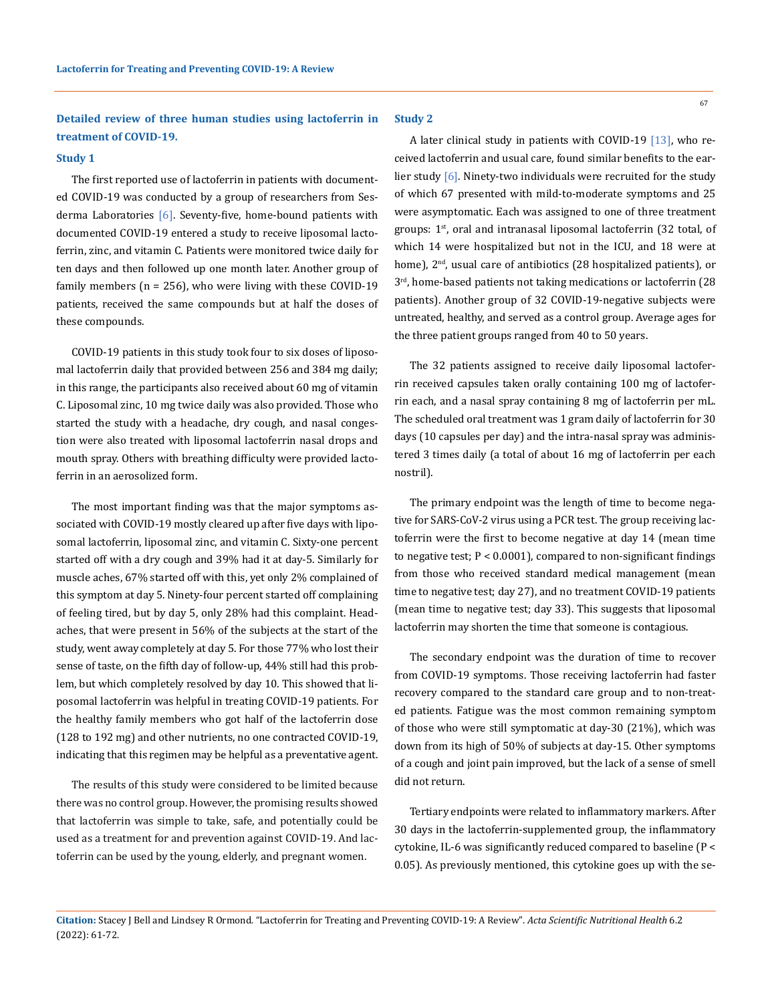# **Detailed review of three human studies using lactoferrin in treatment of COVID-19.**

## **Study 1**

The first reported use of lactoferrin in patients with documented COVID-19 was conducted by a group of researchers from Sesderma Laboratories [6]. Seventy-five, home-bound patients with documented COVID-19 entered a study to receive liposomal lactoferrin, zinc, and vitamin C. Patients were monitored twice daily for ten days and then followed up one month later. Another group of family members  $(n = 256)$ , who were living with these COVID-19 patients, received the same compounds but at half the doses of these compounds.

COVID-19 patients in this study took four to six doses of liposomal lactoferrin daily that provided between 256 and 384 mg daily; in this range, the participants also received about 60 mg of vitamin C. Liposomal zinc, 10 mg twice daily was also provided. Those who started the study with a headache, dry cough, and nasal congestion were also treated with liposomal lactoferrin nasal drops and mouth spray. Others with breathing difficulty were provided lactoferrin in an aerosolized form.

The most important finding was that the major symptoms associated with COVID-19 mostly cleared up after five days with liposomal lactoferrin, liposomal zinc, and vitamin C. Sixty-one percent started off with a dry cough and 39% had it at day-5. Similarly for muscle aches, 67% started off with this, yet only 2% complained of this symptom at day 5. Ninety-four percent started off complaining of feeling tired, but by day 5, only 28% had this complaint. Headaches, that were present in 56% of the subjects at the start of the study, went away completely at day 5. For those 77% who lost their sense of taste, on the fifth day of follow-up, 44% still had this problem, but which completely resolved by day 10. This showed that liposomal lactoferrin was helpful in treating COVID-19 patients. For the healthy family members who got half of the lactoferrin dose (128 to 192 mg) and other nutrients, no one contracted COVID-19, indicating that this regimen may be helpful as a preventative agent.

The results of this study were considered to be limited because there was no control group. However, the promising results showed that lactoferrin was simple to take, safe, and potentially could be used as a treatment for and prevention against COVID-19. And lactoferrin can be used by the young, elderly, and pregnant women.

### **Study 2**

A later clinical study in patients with COVID-19 [13], who received lactoferrin and usual care, found similar benefits to the earlier study [6]. Ninety-two individuals were recruited for the study of which 67 presented with mild-to-moderate symptoms and 25 were asymptomatic. Each was assigned to one of three treatment groups: 1<sup>st</sup>, oral and intranasal liposomal lactoferrin (32 total, of which 14 were hospitalized but not in the ICU, and 18 were at home), 2<sup>nd</sup>, usual care of antibiotics (28 hospitalized patients), or 3rd, home-based patients not taking medications or lactoferrin (28 patients). Another group of 32 COVID-19-negative subjects were untreated, healthy, and served as a control group. Average ages for the three patient groups ranged from 40 to 50 years.

The 32 patients assigned to receive daily liposomal lactoferrin received capsules taken orally containing 100 mg of lactoferrin each, and a nasal spray containing 8 mg of lactoferrin per mL. The scheduled oral treatment was 1 gram daily of lactoferrin for 30 days (10 capsules per day) and the intra-nasal spray was administered 3 times daily (a total of about 16 mg of lactoferrin per each nostril).

The primary endpoint was the length of time to become negative for SARS-CoV-2 virus using a PCR test. The group receiving lactoferrin were the first to become negative at day 14 (mean time to negative test;  $P < 0.0001$ ), compared to non-significant findings from those who received standard medical management (mean time to negative test; day 27), and no treatment COVID-19 patients (mean time to negative test; day 33). This suggests that liposomal lactoferrin may shorten the time that someone is contagious.

The secondary endpoint was the duration of time to recover from COVID-19 symptoms. Those receiving lactoferrin had faster recovery compared to the standard care group and to non-treated patients. Fatigue was the most common remaining symptom of those who were still symptomatic at day-30 (21%), which was down from its high of 50% of subjects at day-15. Other symptoms of a cough and joint pain improved, but the lack of a sense of smell did not return.

Tertiary endpoints were related to inflammatory markers. After 30 days in the lactoferrin-supplemented group, the inflammatory cytokine, IL-6 was significantly reduced compared to baseline (P < 0.05). As previously mentioned, this cytokine goes up with the se-

**Citation:** Stacey J Bell and Lindsey R Ormond*.* "Lactoferrin for Treating and Preventing COVID-19: A Review". *Acta Scientific Nutritional Health* 6.2 (2022): 61-72.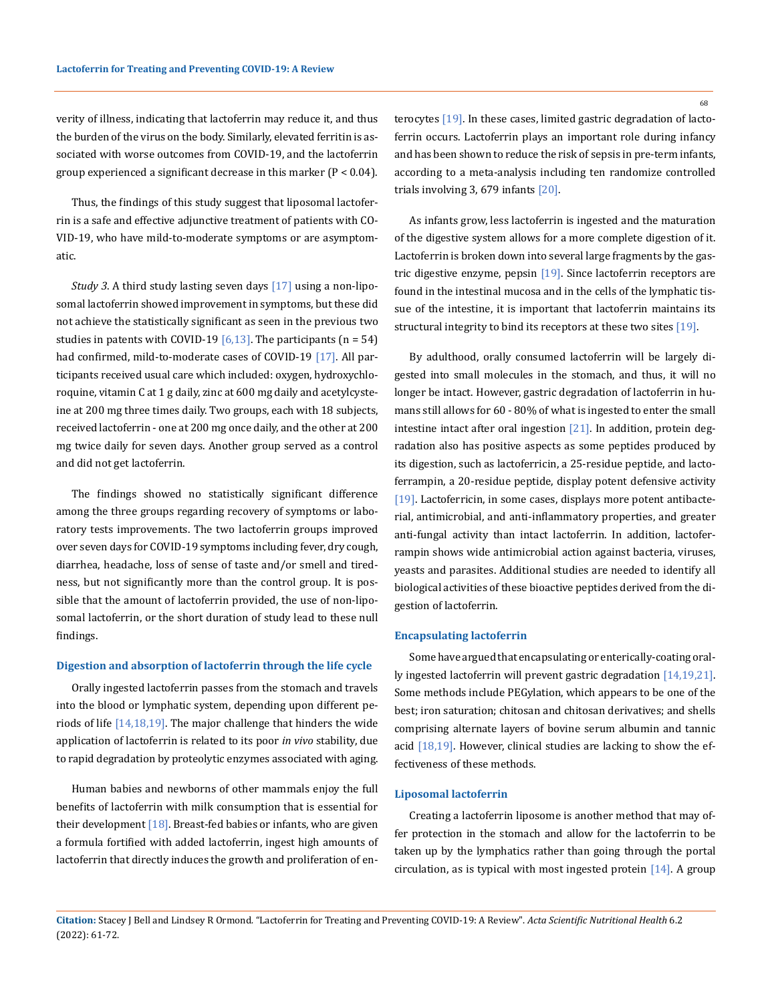verity of illness, indicating that lactoferrin may reduce it, and thus the burden of the virus on the body. Similarly, elevated ferritin is associated with worse outcomes from COVID-19, and the lactoferrin group experienced a significant decrease in this marker (P < 0.04).

Thus, the findings of this study suggest that liposomal lactoferrin is a safe and effective adjunctive treatment of patients with CO-VID-19, who have mild-to-moderate symptoms or are asymptomatic.

*Study 3*. A third study lasting seven days [17] using a non-liposomal lactoferrin showed improvement in symptoms, but these did not achieve the statistically significant as seen in the previous two studies in patents with COVID-19  $[6,13]$ . The participants  $(n = 54)$ had confirmed, mild-to-moderate cases of COVID-19 [17]. All participants received usual care which included: oxygen, hydroxychloroquine, vitamin C at 1 g daily, zinc at 600 mg daily and acetylcysteine at 200 mg three times daily. Two groups, each with 18 subjects, received lactoferrin - one at 200 mg once daily, and the other at 200 mg twice daily for seven days. Another group served as a control and did not get lactoferrin.

The findings showed no statistically significant difference among the three groups regarding recovery of symptoms or laboratory tests improvements. The two lactoferrin groups improved over seven days for COVID-19 symptoms including fever, dry cough, diarrhea, headache, loss of sense of taste and/or smell and tiredness, but not significantly more than the control group. It is possible that the amount of lactoferrin provided, the use of non-liposomal lactoferrin, or the short duration of study lead to these null findings.

#### **Digestion and absorption of lactoferrin through the life cycle**

Orally ingested lactoferrin passes from the stomach and travels into the blood or lymphatic system, depending upon different periods of life  $[14,18,19]$ . The major challenge that hinders the wide application of lactoferrin is related to its poor *in vivo* stability, due to rapid degradation by proteolytic enzymes associated with aging.

Human babies and newborns of other mammals enjoy the full benefits of lactoferrin with milk consumption that is essential for their development  $[18]$ . Breast-fed babies or infants, who are given a formula fortified with added lactoferrin, ingest high amounts of lactoferrin that directly induces the growth and proliferation of enterocytes [19]. In these cases, limited gastric degradation of lactoferrin occurs. Lactoferrin plays an important role during infancy and has been shown to reduce the risk of sepsis in pre-term infants, according to a meta-analysis including ten randomize controlled trials involving 3, 679 infants [20].

As infants grow, less lactoferrin is ingested and the maturation of the digestive system allows for a more complete digestion of it. Lactoferrin is broken down into several large fragments by the gastric digestive enzyme, pepsin [19]. Since lactoferrin receptors are found in the intestinal mucosa and in the cells of the lymphatic tissue of the intestine, it is important that lactoferrin maintains its structural integrity to bind its receptors at these two sites [19].

By adulthood, orally consumed lactoferrin will be largely digested into small molecules in the stomach, and thus, it will no longer be intact. However, gastric degradation of lactoferrin in humans still allows for 60 - 80% of what is ingested to enter the small intestine intact after oral ingestion  $[21]$ . In addition, protein degradation also has positive aspects as some peptides produced by its digestion, such as lactoferricin, a 25-residue peptide, and lactoferrampin, a 20-residue peptide, display potent defensive activity [19]. Lactoferricin, in some cases, displays more potent antibacterial, antimicrobial, and anti-inflammatory properties, and greater anti-fungal activity than intact lactoferrin. In addition, lactoferrampin shows wide antimicrobial action against bacteria, viruses, yeasts and parasites. Additional studies are needed to identify all biological activities of these bioactive peptides derived from the digestion of lactoferrin.

#### **Encapsulating lactoferrin**

Some have argued that encapsulating or enterically-coating orally ingested lactoferrin will prevent gastric degradation [14,19,21]. Some methods include PEGylation, which appears to be one of the best; iron saturation; chitosan and chitosan derivatives; and shells comprising alternate layers of bovine serum albumin and tannic acid [18,19]. However, clinical studies are lacking to show the effectiveness of these methods.

## **Liposomal lactoferrin**

Creating a lactoferrin liposome is another method that may offer protection in the stomach and allow for the lactoferrin to be taken up by the lymphatics rather than going through the portal circulation, as is typical with most ingested protein [14]. A group

68

**Citation:** Stacey J Bell and Lindsey R Ormond*.* "Lactoferrin for Treating and Preventing COVID-19: A Review". *Acta Scientific Nutritional Health* 6.2 (2022): 61-72.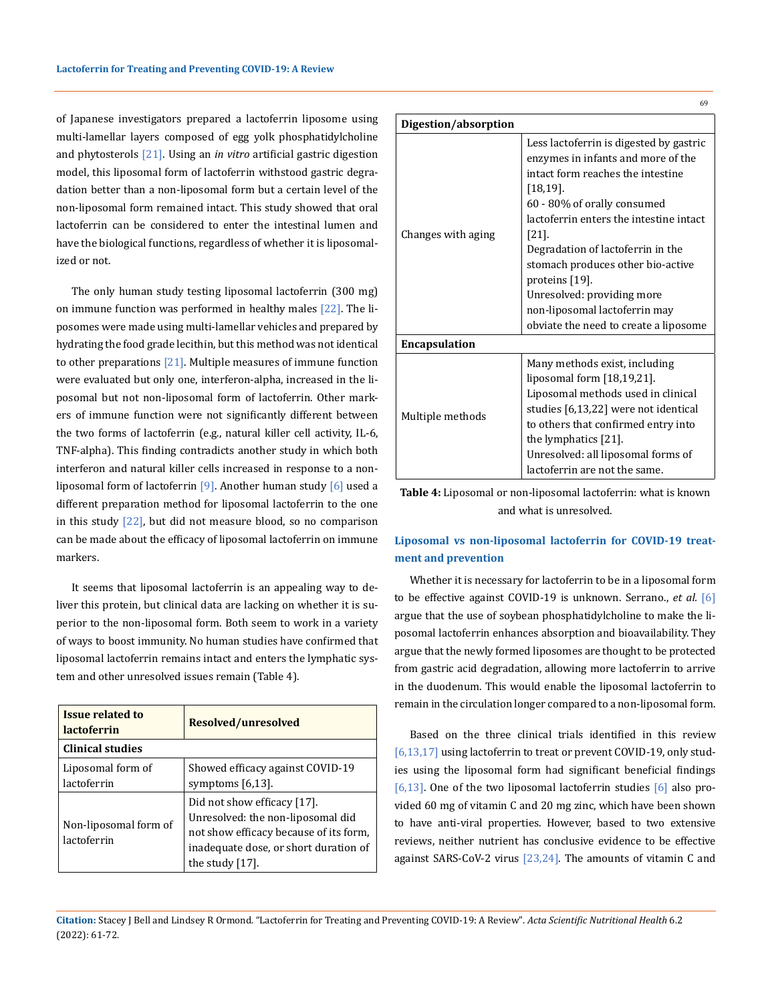of Japanese investigators prepared a lactoferrin liposome using multi-lamellar layers composed of egg yolk phosphatidylcholine and phytosterols [21]. Using an *in vitro* artificial gastric digestion model, this liposomal form of lactoferrin withstood gastric degradation better than a non-liposomal form but a certain level of the non-liposomal form remained intact. This study showed that oral lactoferrin can be considered to enter the intestinal lumen and have the biological functions, regardless of whether it is liposomalized or not.

The only human study testing liposomal lactoferrin (300 mg) on immune function was performed in healthy males [22]. The liposomes were made using multi-lamellar vehicles and prepared by hydrating the food grade lecithin, but this method was not identical to other preparations  $[21]$ . Multiple measures of immune function were evaluated but only one, interferon-alpha, increased in the liposomal but not non-liposomal form of lactoferrin. Other markers of immune function were not significantly different between the two forms of lactoferrin (e.g., natural killer cell activity, IL-6, TNF-alpha). This finding contradicts another study in which both interferon and natural killer cells increased in response to a nonliposomal form of lactoferrin [9]. Another human study [6] used a different preparation method for liposomal lactoferrin to the one in this study  $[22]$ , but did not measure blood, so no comparison can be made about the efficacy of liposomal lactoferrin on immune markers.

It seems that liposomal lactoferrin is an appealing way to deliver this protein, but clinical data are lacking on whether it is superior to the non-liposomal form. Both seem to work in a variety of ways to boost immunity. No human studies have confirmed that liposomal lactoferrin remains intact and enters the lymphatic system and other unresolved issues remain (Table 4).

| <b>Issue related to</b><br><i><u><b>lactoferrin</b></u></i> | Resolved/unresolved                                                                                                                                                       |  |
|-------------------------------------------------------------|---------------------------------------------------------------------------------------------------------------------------------------------------------------------------|--|
| <b>Clinical studies</b>                                     |                                                                                                                                                                           |  |
| Liposomal form of<br>lactoferrin                            | Showed efficacy against COVID-19<br>symptoms $[6,13]$ .                                                                                                                   |  |
| Non-liposomal form of<br>lactoferrin                        | Did not show efficacy [17].<br>Unresolved: the non-liposomal did<br>not show efficacy because of its form,<br>inadequate dose, or short duration of<br>the study $[17]$ . |  |

| ctoferrin is digested |
|-----------------------|
| es in infants and mo: |

69

|                      | Less lactoferrin is digested by gastric<br>enzymes in infants and more of the |
|----------------------|-------------------------------------------------------------------------------|
|                      | intact form reaches the intestine                                             |
|                      | $[18, 19]$ .                                                                  |
|                      | 60 - 80% of orally consumed                                                   |
|                      | lactoferrin enters the intestine intact                                       |
| Changes with aging   | [21]                                                                          |
|                      | Degradation of lactoferrin in the                                             |
|                      | stomach produces other bio-active                                             |
|                      | proteins [19].                                                                |
|                      | Unresolved: providing more                                                    |
|                      | non-liposomal lactoferrin may                                                 |
|                      | obviate the need to create a liposome                                         |
| <b>Encapsulation</b> |                                                                               |
| Multiple methods     | Many methods exist, including                                                 |
|                      | liposomal form [18,19,21].                                                    |
|                      | Liposomal methods used in clinical                                            |
|                      | studies [6,13,22] were not identical                                          |
|                      | to others that confirmed entry into                                           |
|                      | the lymphatics $[21]$ .                                                       |
|                      | Unresolved: all liposomal forms of                                            |
|                      | lactoferrin are not the same.                                                 |

**Digestion/absorption**

**Table 4:** Liposomal or non-liposomal lactoferrin: what is known and what is unresolved.

# **Liposomal vs non-liposomal lactoferrin for COVID-19 treatment and prevention**

Whether it is necessary for lactoferrin to be in a liposomal form to be effective against COVID-19 is unknown. Serrano., *et al.* [6] argue that the use of soybean phosphatidylcholine to make the liposomal lactoferrin enhances absorption and bioavailability. They argue that the newly formed liposomes are thought to be protected from gastric acid degradation, allowing more lactoferrin to arrive in the duodenum. This would enable the liposomal lactoferrin to remain in the circulation longer compared to a non-liposomal form.

Based on the three clinical trials identified in this review [6,13,17] using lactoferrin to treat or prevent COVID-19, only studies using the liposomal form had significant beneficial findings [6,13]. One of the two liposomal lactoferrin studies [6] also provided 60 mg of vitamin C and 20 mg zinc, which have been shown to have anti-viral properties. However, based to two extensive reviews, neither nutrient has conclusive evidence to be effective against SARS-CoV-2 virus [23,24]. The amounts of vitamin C and

**Citation:** Stacey J Bell and Lindsey R Ormond*.* "Lactoferrin for Treating and Preventing COVID-19: A Review". *Acta Scientific Nutritional Health* 6.2 (2022): 61-72.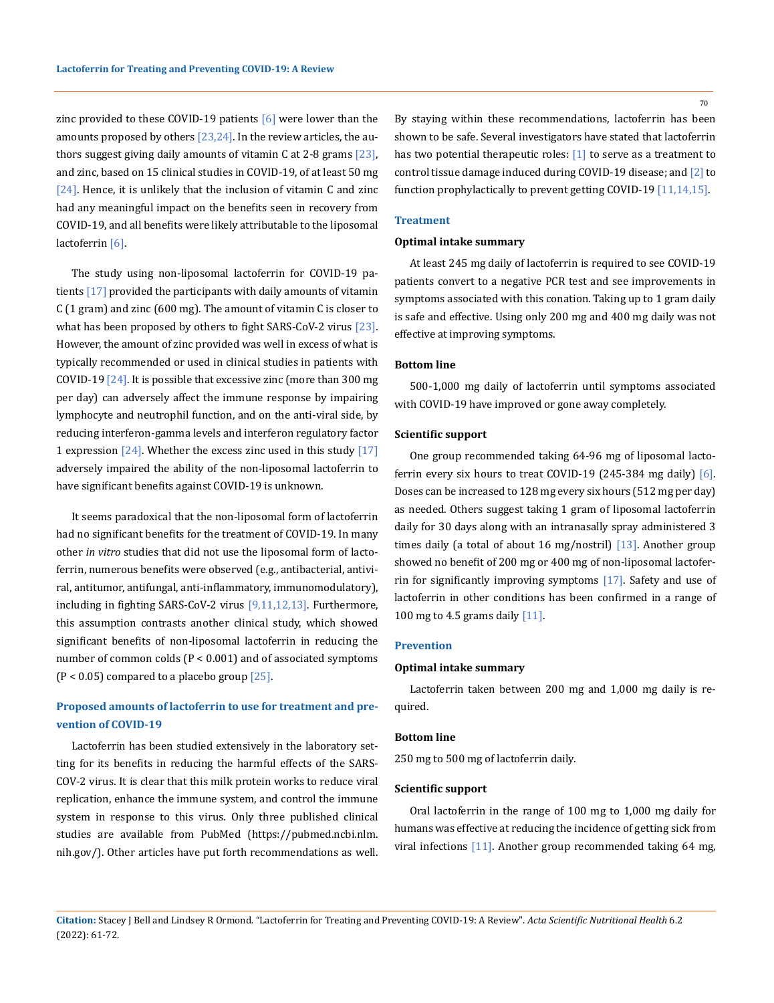zinc provided to these COVID-19 patients  $[6]$  were lower than the amounts proposed by others  $[23,24]$ . In the review articles, the authors suggest giving daily amounts of vitamin C at 2-8 grams  $[23]$ , and zinc, based on 15 clinical studies in COVID-19, of at least 50 mg  $[24]$ . Hence, it is unlikely that the inclusion of vitamin C and zinc had any meaningful impact on the benefits seen in recovery from COVID-19, and all benefits were likely attributable to the liposomal lactoferrin [6].

The study using non-liposomal lactoferrin for COVID-19 patients [17] provided the participants with daily amounts of vitamin C (1 gram) and zinc (600 mg). The amount of vitamin C is closer to what has been proposed by others to fight SARS-CoV-2 virus [23]. However, the amount of zinc provided was well in excess of what is typically recommended or used in clinical studies in patients with COVID-19  $[24]$ . It is possible that excessive zinc (more than 300 mg per day) can adversely affect the immune response by impairing lymphocyte and neutrophil function, and on the anti-viral side, by reducing interferon-gamma levels and interferon regulatory factor 1 expression  $\lceil 24 \rceil$ . Whether the excess zinc used in this study  $\lceil 17 \rceil$ adversely impaired the ability of the non-liposomal lactoferrin to have significant benefits against COVID-19 is unknown.

It seems paradoxical that the non-liposomal form of lactoferrin had no significant benefits for the treatment of COVID-19. In many other *in vitro* studies that did not use the liposomal form of lactoferrin, numerous benefits were observed (e.g., antibacterial, antiviral, antitumor, antifungal, anti-inflammatory, immunomodulatory), including in fighting SARS-CoV-2 virus [9,11,12,13]. Furthermore, this assumption contrasts another clinical study, which showed significant benefits of non-liposomal lactoferrin in reducing the number of common colds (P < 0.001) and of associated symptoms  $(P < 0.05)$  compared to a placebo group  $[25]$ .

# **Proposed amounts of lactoferrin to use for treatment and prevention of COVID-19**

Lactoferrin has been studied extensively in the laboratory setting for its benefits in reducing the harmful effects of the SARS-COV-2 virus. It is clear that this milk protein works to reduce viral replication, enhance the immune system, and control the immune system in response to this virus. Only three published clinical studies are available from PubMed [\(https://pubmed.ncbi.nlm.](https://pubmed.ncbi.nlm.nih.gov/) [nih.gov/\)](https://pubmed.ncbi.nlm.nih.gov/). Other articles have put forth recommendations as well. By staying within these recommendations, lactoferrin has been shown to be safe. Several investigators have stated that lactoferrin has two potential therapeutic roles: [1] to serve as a treatment to control tissue damage induced during COVID-19 disease; and [2] to function prophylactically to prevent getting COVID-19 [11,14,15].

### **Treatment**

#### **Optimal intake summary**

At least 245 mg daily of lactoferrin is required to see COVID-19 patients convert to a negative PCR test and see improvements in symptoms associated with this conation. Taking up to 1 gram daily is safe and effective. Using only 200 mg and 400 mg daily was not effective at improving symptoms.

### **Bottom line**

500-1,000 mg daily of lactoferrin until symptoms associated with COVID-19 have improved or gone away completely.

#### **Scientific support**

One group recommended taking 64-96 mg of liposomal lactoferrin every six hours to treat COVID-19 (245-384 mg daily) [6]. Doses can be increased to 128 mg every six hours (512 mg per day) as needed. Others suggest taking 1 gram of liposomal lactoferrin daily for 30 days along with an intranasally spray administered 3 times daily (a total of about 16 mg/nostril)  $[13]$ . Another group showed no benefit of 200 mg or 400 mg of non-liposomal lactoferrin for significantly improving symptoms [17]. Safety and use of lactoferrin in other conditions has been confirmed in a range of 100 mg to 4.5 grams daily [11].

### **Prevention**

## **Optimal intake summary**

Lactoferrin taken between 200 mg and 1,000 mg daily is required.

### **Bottom line**

250 mg to 500 mg of lactoferrin daily.

### **Scientific support**

Oral lactoferrin in the range of 100 mg to 1,000 mg daily for humans was effective at reducing the incidence of getting sick from viral infections [11]. Another group recommended taking 64 mg,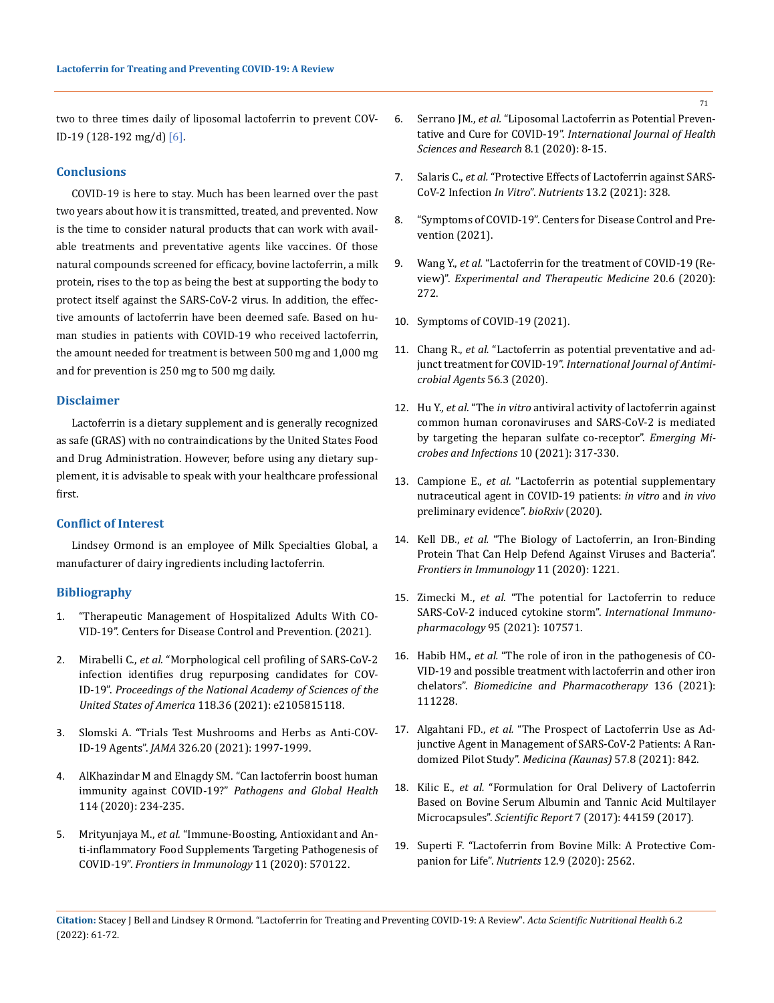two to three times daily of liposomal lactoferrin to prevent COV-ID-19 (128-192 mg/d) [6].

## **Conclusions**

COVID-19 is here to stay. Much has been learned over the past two years about how it is transmitted, treated, and prevented. Now is the time to consider natural products that can work with available treatments and preventative agents like vaccines. Of those natural compounds screened for efficacy, bovine lactoferrin, a milk protein, rises to the top as being the best at supporting the body to protect itself against the SARS-CoV-2 virus. In addition, the effective amounts of lactoferrin have been deemed safe. Based on human studies in patients with COVID-19 who received lactoferrin, the amount needed for treatment is between 500 mg and 1,000 mg and for prevention is 250 mg to 500 mg daily.

## **Disclaimer**

Lactoferrin is a dietary supplement and is generally recognized as safe (GRAS) with no contraindications by the United States Food and Drug Administration. However, before using any dietary supplement, it is advisable to speak with your healthcare professional first.

# **Conflict of Interest**

Lindsey Ormond is an employee of Milk Specialties Global, a manufacturer of dairy ingredients including lactoferrin.

### **Bibliography**

- 1. ["Therapeutic Management of Hospitalized Adults With CO-](https://www.covid19treatmentguidelines.nih.gov/management/clinical-management/hospitalized-adults--therapeutic-management/)[VID-19". Centers for Disease Control and Prevention. \(2021\).](https://www.covid19treatmentguidelines.nih.gov/management/clinical-management/hospitalized-adults--therapeutic-management/)
- 2. Mirabelli C., *et al.* ["Morphological cell profiling of SARS-CoV-2](https://pubmed.ncbi.nlm.nih.gov/34413211/)  [infection identifies drug repurposing candidates for COV](https://pubmed.ncbi.nlm.nih.gov/34413211/)-ID-19". *[Proceedings of the National Academy of Sciences of the](https://pubmed.ncbi.nlm.nih.gov/34413211/)  [United States of America](https://pubmed.ncbi.nlm.nih.gov/34413211/)* 118.36 (2021): e2105815118.
- 3. [Slomski A. "Trials Test Mushrooms and Herbs as Anti-COV-](https://pubmed.ncbi.nlm.nih.gov/34730783/)ID-19 Agents". *JAMA* [326.20 \(2021\): 1997-1999.](https://pubmed.ncbi.nlm.nih.gov/34730783/)
- 4. [AlKhazindar M and Elnagdy SM. "Can lactoferrin boost human](https://pubmed.ncbi.nlm.nih.gov/32529963/)  immunity against COVID-19?" *[Pathogens and Global Health](https://pubmed.ncbi.nlm.nih.gov/32529963/)* [114 \(2020\): 234-235.](https://pubmed.ncbi.nlm.nih.gov/32529963/)
- 5. Mrityunjaya M., *et al.* ["Immune-Boosting, Antioxidant and An](https://pubmed.ncbi.nlm.nih.gov/33117359/)[ti-inflammatory Food Supplements Targeting Pathogenesis of](https://pubmed.ncbi.nlm.nih.gov/33117359/)  COVID-19". *[Frontiers in Immunology](https://pubmed.ncbi.nlm.nih.gov/33117359/)* 11 (2020): 570122.
- 6. Serrano JM., *et al.* ["Liposomal Lactoferrin as Potential Preven](https://ijrhs.org/article/2020/8/1/105530ijrhs813)tative and Cure for COVID-19". *[International Journal of Health](https://ijrhs.org/article/2020/8/1/105530ijrhs813)  [Sciences and Research](https://ijrhs.org/article/2020/8/1/105530ijrhs813)* 8.1 (2020): 8-15.
- 7. Salaris C., *et al.* ["Protective Effects of Lactoferrin against SARS-](https://pubmed.ncbi.nlm.nih.gov/33498631/)CoV-2 Infection *In Vitro*". *Nutrients* [13.2 \(2021\): 328.](https://pubmed.ncbi.nlm.nih.gov/33498631/)
- 8. ["Symptoms of COVID-19". Centers for Disease Control and Pre](https://www.cdc.gov/coronavirus/2019-ncov/symptoms-testing/symptoms.html)[vention \(2021\).](https://www.cdc.gov/coronavirus/2019-ncov/symptoms-testing/symptoms.html)
- 9. Wang Y., *et al.* ["Lactoferrin for the treatment of COVID-19 \(Re](https://www.spandidos-publications.com/10.3892/etm.2020.9402)view)". *[Experimental and Therapeutic Medicine](https://www.spandidos-publications.com/10.3892/etm.2020.9402)* 20.6 (2020): [272.](https://www.spandidos-publications.com/10.3892/etm.2020.9402)
- 10. [Symptoms of COVID-19 \(2021\).](https://www.cdc.gov/coronavirus/2019-ncov/symptoms-testing/symptoms.html)
- 11. Chang R., *et al.* ["Lactoferrin as potential preventative and ad](https://pubmed.ncbi.nlm.nih.gov/32738305/)junct treatment for COVID-19". *[International Journal of Antimi](https://pubmed.ncbi.nlm.nih.gov/32738305/)[crobial Agents](https://pubmed.ncbi.nlm.nih.gov/32738305/)* 56.3 (2020).
- 12. Hu Y., *et al.* "The *in vitro* [antiviral activity of lactoferrin against](https://www.tandfonline.com/doi/full/10.1080/22221751.2021.1888660)  [common human coronaviruses and SARS-CoV-2 is mediated](https://www.tandfonline.com/doi/full/10.1080/22221751.2021.1888660)  [by targeting the heparan sulfate co-receptor".](https://www.tandfonline.com/doi/full/10.1080/22221751.2021.1888660) *Emerging Mi[crobes and Infections](https://www.tandfonline.com/doi/full/10.1080/22221751.2021.1888660)* 10 (2021): 317-330.
- 13. Campione E., *et al.* ["Lactoferrin as potential supplementary](https://www.biorxiv.org/content/10.1101/2020.08.11.244996v4)  [nutraceutical agent in COVID-19 patients:](https://www.biorxiv.org/content/10.1101/2020.08.11.244996v4) *in vitro* and *in vivo* [preliminary evidence".](https://www.biorxiv.org/content/10.1101/2020.08.11.244996v4) *bioRxiv* (2020).
- 14. Kell DB., *et al.* ["The Biology of Lactoferrin, an Iron-Binding](https://pubmed.ncbi.nlm.nih.gov/32574271/)  [Protein That Can Help Defend Against Viruses and Bacteria".](https://pubmed.ncbi.nlm.nih.gov/32574271/)  *[Frontiers in Immunology](https://pubmed.ncbi.nlm.nih.gov/32574271/)* 11 (2020): 1221.
- 15. Zimecki M., *et al.* ["The potential for Lactoferrin to reduce](file:///E:/ANUSHA/Acta/FEBRUARY/ASNH/ASNH-21-RW-351/w)  [SARS-CoV-2 induced cytokine storm".](file:///E:/ANUSHA/Acta/FEBRUARY/ASNH/ASNH-21-RW-351/w) *International Immunopharmacology* [95 \(2021\): 107571.](file:///E:/ANUSHA/Acta/FEBRUARY/ASNH/ASNH-21-RW-351/w)
- 16. Habib HM., *et al.* ["The role of iron in the pathogenesis of CO-](https://pubmed.ncbi.nlm.nih.gov/33454595/)[VID-19 and possible treatment with lactoferrin and other iron](https://pubmed.ncbi.nlm.nih.gov/33454595/)  chelators". *[Biomedicine and Pharmacotherapy](https://pubmed.ncbi.nlm.nih.gov/33454595/)* 136 (2021): [111228.](https://pubmed.ncbi.nlm.nih.gov/33454595/)
- 17. Algahtani FD., *et al.* ["The Prospect of Lactoferrin Use as Ad](https://www.mdpi.com/1648-9144/57/8/842)[junctive Agent in Management of SARS-CoV-2 Patients: A Ran](https://www.mdpi.com/1648-9144/57/8/842)domized Pilot Study". *[Medicina \(Kaunas\)](https://www.mdpi.com/1648-9144/57/8/842)* 57.8 (2021): 842.
- 18. Kilic E., *et al.* ["Formulation for Oral Delivery of Lactoferrin](https://www.nature.com/articles/srep44159)  [Based on Bovine Serum Albumin and Tannic Acid Multilayer](https://www.nature.com/articles/srep44159)  Microcapsules". *Scientific Report* [7 \(2017\): 44159 \(2017\).](https://www.nature.com/articles/srep44159)
- 19. [Superti F. "Lactoferrin from Bovine Milk: A Protective Com](https://pubmed.ncbi.nlm.nih.gov/32847014/)panion for Life". *Nutrients* [12.9 \(2020\): 2562.](https://pubmed.ncbi.nlm.nih.gov/32847014/)